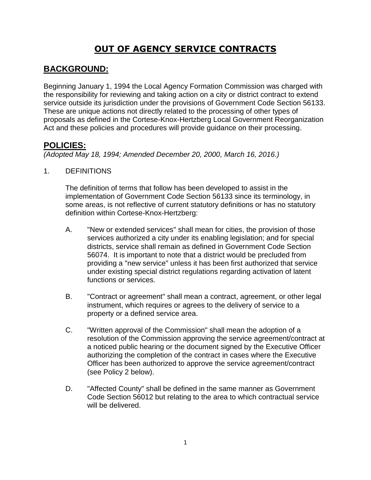# **OUT OF AGENCY SERVICE CONTRACTS**

# **BACKGROUND:**

Beginning January 1, 1994 the Local Agency Formation Commission was charged with the responsibility for reviewing and taking action on a city or district contract to extend service outside its jurisdiction under the provisions of Government Code Section 56133. These are unique actions not directly related to the processing of other types of proposals as defined in the Cortese-Knox-Hertzberg Local Government Reorganization Act and these policies and procedures will provide guidance on their processing.

## **POLICIES:**

*(Adopted May 18, 1994; Amended December 20, 2000, March 16, 2016.)*

#### 1. DEFINITIONS

The definition of terms that follow has been developed to assist in the implementation of Government Code Section 56133 since its terminology, in some areas, is not reflective of current statutory definitions or has no statutory definition within Cortese-Knox-Hertzberg:

- A. "New or extended services" shall mean for cities, the provision of those services authorized a city under its enabling legislation; and for special districts, service shall remain as defined in Government Code Section 56074. It is important to note that a district would be precluded from providing a "new service" unless it has been first authorized that service under existing special district regulations regarding activation of latent functions or services.
- B. "Contract or agreement" shall mean a contract, agreement, or other legal instrument, which requires or agrees to the delivery of service to a property or a defined service area.
- C. "Written approval of the Commission" shall mean the adoption of a resolution of the Commission approving the service agreement/contract at a noticed public hearing or the document signed by the Executive Officer authorizing the completion of the contract in cases where the Executive Officer has been authorized to approve the service agreement/contract (see Policy 2 below).
- D. "Affected County" shall be defined in the same manner as Government Code Section 56012 but relating to the area to which contractual service will be delivered.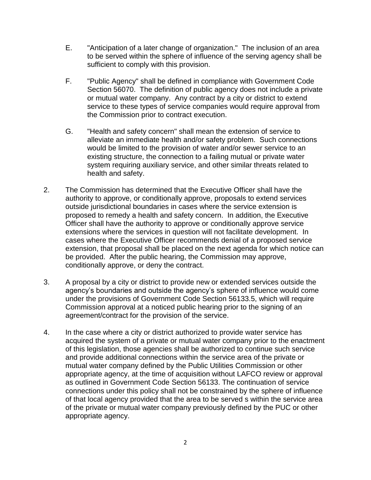- E. "Anticipation of a later change of organization." The inclusion of an area to be served within the sphere of influence of the serving agency shall be sufficient to comply with this provision.
- F. "Public Agency" shall be defined in compliance with Government Code Section 56070. The definition of public agency does not include a private or mutual water company. Any contract by a city or district to extend service to these types of service companies would require approval from the Commission prior to contract execution.
- G. "Health and safety concern" shall mean the extension of service to alleviate an immediate health and/or safety problem. Such connections would be limited to the provision of water and/or sewer service to an existing structure, the connection to a failing mutual or private water system requiring auxiliary service, and other similar threats related to health and safety.
- 2. The Commission has determined that the Executive Officer shall have the authority to approve, or conditionally approve, proposals to extend services outside jurisdictional boundaries in cases where the service extension is proposed to remedy a health and safety concern. In addition, the Executive Officer shall have the authority to approve or conditionally approve service extensions where the services in question will not facilitate development. In cases where the Executive Officer recommends denial of a proposed service extension, that proposal shall be placed on the next agenda for which notice can be provided. After the public hearing, the Commission may approve, conditionally approve, or deny the contract.
- 3. A proposal by a city or district to provide new or extended services outside the agency's boundaries and outside the agency's sphere of influence would come under the provisions of Government Code Section 56133.5, which will require Commission approval at a noticed public hearing prior to the signing of an agreement/contract for the provision of the service.
- 4. In the case where a city or district authorized to provide water service has acquired the system of a private or mutual water company prior to the enactment of this legislation, those agencies shall be authorized to continue such service and provide additional connections within the service area of the private or mutual water company defined by the Public Utilities Commission or other appropriate agency, at the time of acquisition without LAFCO review or approval as outlined in Government Code Section 56133. The continuation of service connections under this policy shall not be constrained by the sphere of influence of that local agency provided that the area to be served s within the service area of the private or mutual water company previously defined by the PUC or other appropriate agency.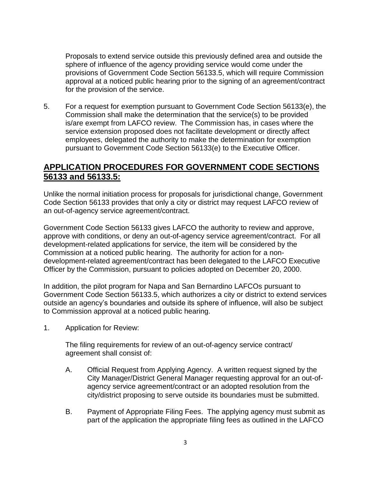Proposals to extend service outside this previously defined area and outside the sphere of influence of the agency providing service would come under the provisions of Government Code Section 56133.5, which will require Commission approval at a noticed public hearing prior to the signing of an agreement/contract for the provision of the service.

5. For a request for exemption pursuant to Government Code Section 56133(e), the Commission shall make the determination that the service(s) to be provided is/are exempt from LAFCO review. The Commission has, in cases where the service extension proposed does not facilitate development or directly affect employees, delegated the authority to make the determination for exemption pursuant to Government Code Section 56133(e) to the Executive Officer.

### **APPLICATION PROCEDURES FOR GOVERNMENT CODE SECTIONS 56133 and 56133.5:**

Unlike the normal initiation process for proposals for jurisdictional change, Government Code Section 56133 provides that only a city or district may request LAFCO review of an out-of-agency service agreement/contract.

Government Code Section 56133 gives LAFCO the authority to review and approve, approve with conditions, or deny an out-of-agency service agreement/contract. For all development-related applications for service, the item will be considered by the Commission at a noticed public hearing. The authority for action for a nondevelopment-related agreement/contract has been delegated to the LAFCO Executive Officer by the Commission, pursuant to policies adopted on December 20, 2000.

In addition, the pilot program for Napa and San Bernardino LAFCOs pursuant to Government Code Section 56133.5, which authorizes a city or district to extend services outside an agency's boundaries and outside its sphere of influence, will also be subject to Commission approval at a noticed public hearing.

1. Application for Review:

The filing requirements for review of an out-of-agency service contract/ agreement shall consist of:

- A. Official Request from Applying Agency. A written request signed by the City Manager/District General Manager requesting approval for an out-ofagency service agreement/contract or an adopted resolution from the city/district proposing to serve outside its boundaries must be submitted.
- B. Payment of Appropriate Filing Fees. The applying agency must submit as part of the application the appropriate filing fees as outlined in the LAFCO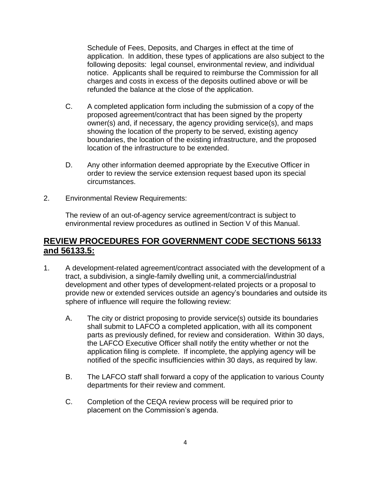Schedule of Fees, Deposits, and Charges in effect at the time of application. In addition, these types of applications are also subject to the following deposits: legal counsel, environmental review, and individual notice. Applicants shall be required to reimburse the Commission for all charges and costs in excess of the deposits outlined above or will be refunded the balance at the close of the application.

- C. A completed application form including the submission of a copy of the proposed agreement/contract that has been signed by the property owner(s) and, if necessary, the agency providing service(s), and maps showing the location of the property to be served, existing agency boundaries, the location of the existing infrastructure, and the proposed location of the infrastructure to be extended.
- D. Any other information deemed appropriate by the Executive Officer in order to review the service extension request based upon its special circumstances.
- 2. Environmental Review Requirements:

The review of an out-of-agency service agreement/contract is subject to environmental review procedures as outlined in Section V of this Manual.

### **REVIEW PROCEDURES FOR GOVERNMENT CODE SECTIONS 56133 and 56133.5:**

- 1. A development-related agreement/contract associated with the development of a tract, a subdivision, a single-family dwelling unit, a commercial/industrial development and other types of development-related projects or a proposal to provide new or extended services outside an agency's boundaries and outside its sphere of influence will require the following review:
	- A. The city or district proposing to provide service(s) outside its boundaries shall submit to LAFCO a completed application, with all its component parts as previously defined, for review and consideration. Within 30 days, the LAFCO Executive Officer shall notify the entity whether or not the application filing is complete. If incomplete, the applying agency will be notified of the specific insufficiencies within 30 days, as required by law.
	- B. The LAFCO staff shall forward a copy of the application to various County departments for their review and comment.
	- C. Completion of the CEQA review process will be required prior to placement on the Commission's agenda.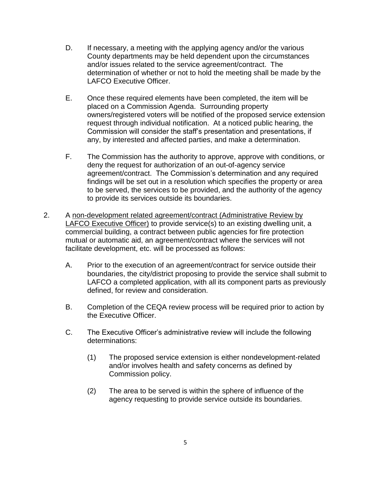- D. If necessary, a meeting with the applying agency and/or the various County departments may be held dependent upon the circumstances and/or issues related to the service agreement/contract. The determination of whether or not to hold the meeting shall be made by the LAFCO Executive Officer.
- E. Once these required elements have been completed, the item will be placed on a Commission Agenda. Surrounding property owners/registered voters will be notified of the proposed service extension request through individual notification. At a noticed public hearing, the Commission will consider the staff's presentation and presentations, if any, by interested and affected parties, and make a determination.
- F. The Commission has the authority to approve, approve with conditions, or deny the request for authorization of an out-of-agency service agreement/contract. The Commission's determination and any required findings will be set out in a resolution which specifies the property or area to be served, the services to be provided, and the authority of the agency to provide its services outside its boundaries.
- 2. A non-development related agreement/contract (Administrative Review by LAFCO Executive Officer) to provide service(s) to an existing dwelling unit, a commercial building, a contract between public agencies for fire protection mutual or automatic aid, an agreement/contract where the services will not facilitate development, etc. will be processed as follows:
	- A. Prior to the execution of an agreement/contract for service outside their boundaries, the city/district proposing to provide the service shall submit to LAFCO a completed application, with all its component parts as previously defined, for review and consideration.
	- B. Completion of the CEQA review process will be required prior to action by the Executive Officer.
	- C. The Executive Officer's administrative review will include the following determinations:
		- (1) The proposed service extension is either nondevelopment-related and/or involves health and safety concerns as defined by Commission policy.
		- (2) The area to be served is within the sphere of influence of the agency requesting to provide service outside its boundaries.